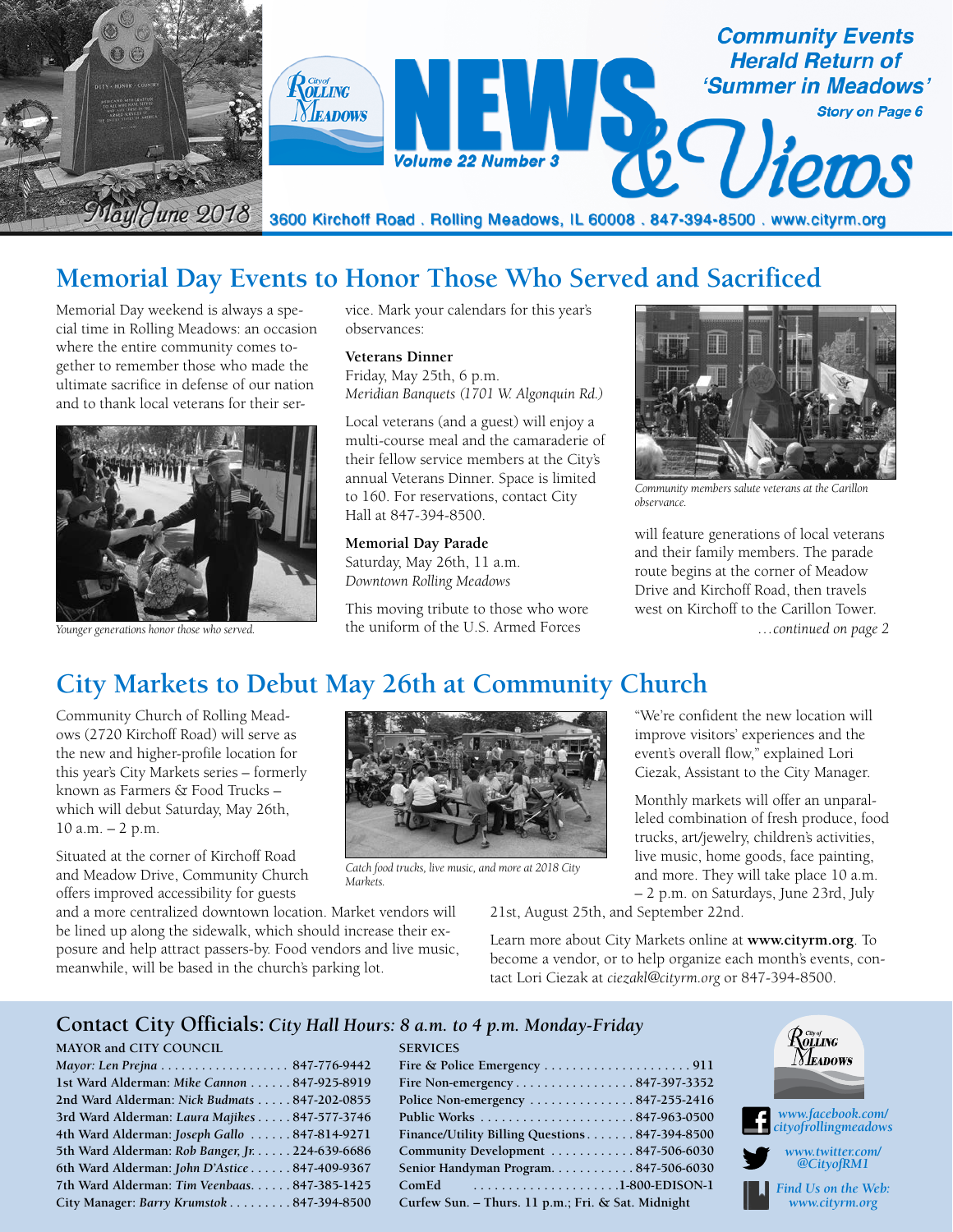

## **Memorial Day Events to Honor Those Who Served and Sacrificed**

Memorial Day weekend is always a special time in Rolling Meadows: an occasion where the entire community comes together to remember those who made the ultimate sacrifice in defense of our nation and to thank local veterans for their ser-



*Younger generations honor those who served.*

vice. Mark your calendars for this year's observances:

**Veterans Dinner** Friday, May 25th, 6 p.m. *Meridian Banquets (1701 W. Algonquin Rd.)*

Local veterans (and a guest) will enjoy a multi-course meal and the camaraderie of their fellow service members at the City's annual Veterans Dinner. Space is limited to 160. For reservations, contact City Hall at 847-394-8500.

**Memorial Day Parade** Saturday, May 26th, 11 a.m. *Downtown Rolling Meadows*

This moving tribute to those who wore the uniform of the U.S. Armed Forces

*Catch food trucks, live music, and more at 2018 City* 



*Community members salute veterans at the Carillon observance.*

will feature generations of local veterans and their family members. The parade route begins at the corner of Meadow Drive and Kirchoff Road, then travels west on Kirchoff to the Carillon Tower. *…continued on page 2*

## **City Markets to Debut May 26th at Community Church**

Community Church of Rolling Meadows (2720 Kirchoff Road) will serve as the new and higher-profile location for this year's City Markets series – formerly known as Farmers & Food Trucks – which will debut Saturday, May 26th, 10 a.m. – 2 p.m.

Situated at the corner of Kirchoff Road and Meadow Drive, Community Church offers improved accessibility for guests

and a more centralized downtown location. Market vendors will be lined up along the sidewalk, which should increase their exposure and help attract passers-by. Food vendors and live music, meanwhile, will be based in the church's parking lot.

"We're confident the new location will improve visitors' experiences and the event's overall flow," explained Lori Ciezak, Assistant to the City Manager.

Monthly markets will offer an unparalleled combination of fresh produce, food trucks, art/jewelry, children's activities, live music, home goods, face painting, and more. They will take place 10 a.m. – 2 p.m. on Saturdays, June 23rd, July

21st, August 25th, and September 22nd.

Learn more about City Markets online at **www.cityrm.org**. To become a vendor, or to help organize each month's events, contact Lori Ciezak at *ciezakl@cityrm.org* or 847-394-8500.

#### **Contact City Officials:** *City Hall Hours: 8 a.m. to 4 p.m. Monday-Friday*

*Markets.*

**SERVICES**

#### **MAYOR and CITY COUNCIL**

| Mayor: Len Prejna 847-776-9442                  |  |
|-------------------------------------------------|--|
| 1st Ward Alderman: Mike Cannon 847-925-8919     |  |
| 2nd Ward Alderman: Nick Budmats 847-202-0855    |  |
| 3rd Ward Alderman: Laura Majikes 847-577-3746   |  |
| 4th Ward Alderman: Joseph Gallo  847-814-9271   |  |
| 5th Ward Alderman: Rob Banger, Jr. 224-639-6686 |  |
| 6th Ward Alderman: John D'Astice  847-409-9367  |  |
| 7th Ward Alderman: Tim Veenbaas847-385-1425     |  |
| City Manager: Barry Krumstok 847-394-8500       |  |
|                                                 |  |

| Fire Non-emergency 847-397-3352                          |
|----------------------------------------------------------|
| Police Non-emergency $\dots\dots\dots\dots 847-255-2416$ |
|                                                          |
| Finance/Utility Billing Questions847-394-8500            |
| Community Development 847-506-6030                       |
| Senior Handyman Program847-506-6030                      |
| ComEd                                                    |
| Curfew Sun. - Thurs. 11 p.m.; Fri. & Sat. Midnight       |



*Find Us on the Web: www.cityrm.org*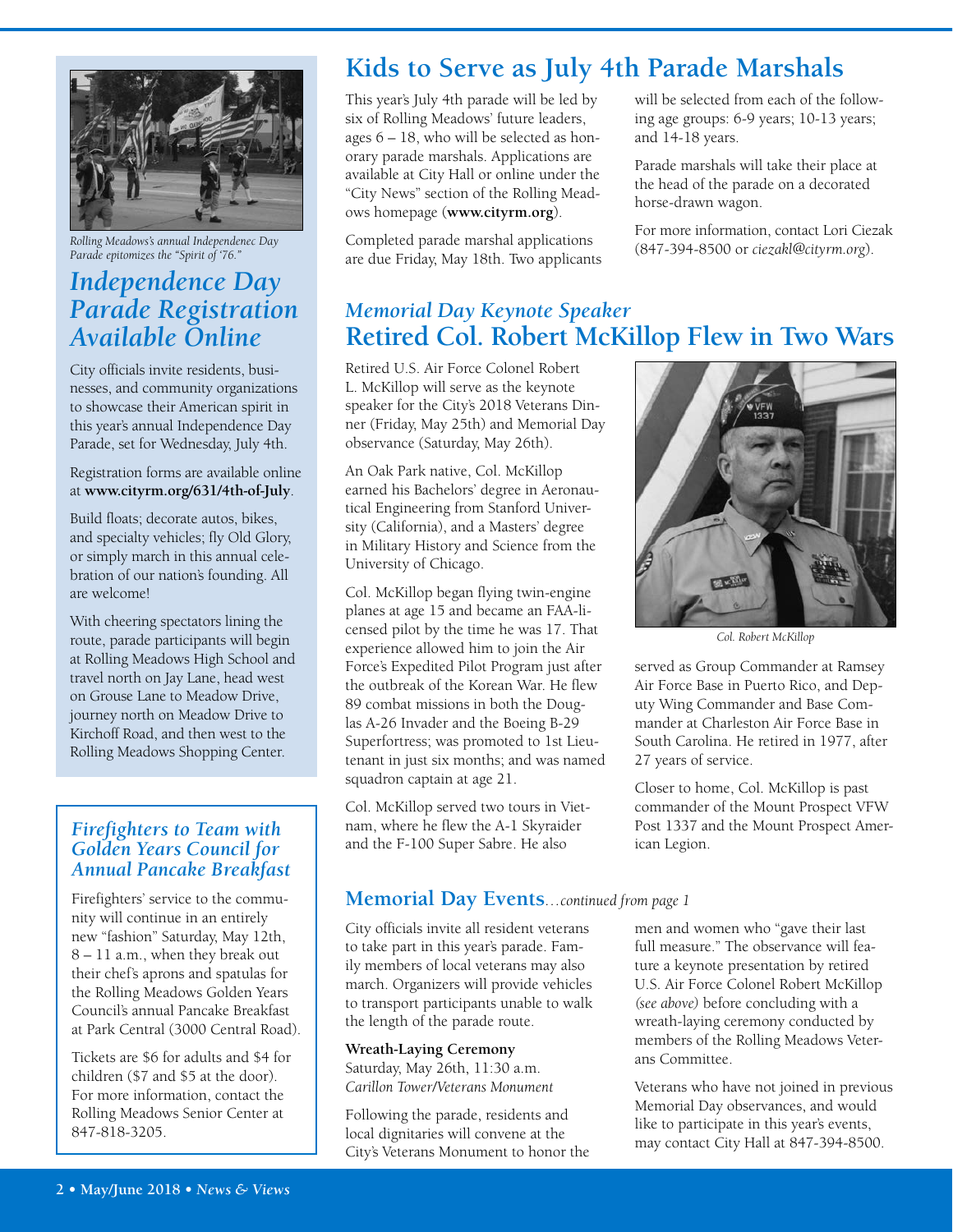

*Rolling Meadows's annual Independenec Day Parade epitomizes the "Spirit of '76."*

## *Independence Day Parade Registration Available Online*

City officials invite residents, businesses, and community organizations to showcase their American spirit in this year's annual Independence Day Parade, set for Wednesday, July 4th.

Registration forms are available online at **www.cityrm.org/631/4th-of-July**.

Build floats; decorate autos, bikes, and specialty vehicles; fly Old Glory, or simply march in this annual celebration of our nation's founding. All are welcome!

With cheering spectators lining the route, parade participants will begin at Rolling Meadows High School and travel north on Jay Lane, head west on Grouse Lane to Meadow Drive, journey north on Meadow Drive to Kirchoff Road, and then west to the Rolling Meadows Shopping Center.

### *Firefighters to Team with Golden Years Council for Annual Pancake Breakfast*

Firefighters' service to the community will continue in an entirely new "fashion" Saturday, May 12th, 8 – 11 a.m., when they break out their chef's aprons and spatulas for the Rolling Meadows Golden Years Council's annual Pancake Breakfast at Park Central (3000 Central Road).

Tickets are \$6 for adults and \$4 for children (\$7 and \$5 at the door). For more information, contact the Rolling Meadows Senior Center at 847-818-3205.

# **Kids to Serve as July 4th Parade Marshals**

This year's July 4th parade will be led by six of Rolling Meadows' future leaders, ages 6 – 18, who will be selected as honorary parade marshals. Applications are available at City Hall or online under the "City News" section of the Rolling Meadows homepage (**www.cityrm.org**).

Completed parade marshal applications are due Friday, May 18th. Two applicants will be selected from each of the following age groups: 6-9 years; 10-13 years; and 14-18 years.

Parade marshals will take their place at the head of the parade on a decorated horse-drawn wagon.

For more information, contact Lori Ciezak (847-394-8500 or *ciezakl@cityrm.org*).

## *Memorial Day Keynote Speaker* **Retired Col. Robert McKillop Flew in Two Wars**

Retired U.S. Air Force Colonel Robert L. McKillop will serve as the keynote speaker for the City's 2018 Veterans Dinner (Friday, May 25th) and Memorial Day observance (Saturday, May 26th).

An Oak Park native, Col. McKillop earned his Bachelors' degree in Aeronautical Engineering from Stanford University (California), and a Masters' degree in Military History and Science from the University of Chicago.

Col. McKillop began flying twin-engine planes at age 15 and became an FAA-licensed pilot by the time he was 17. That experience allowed him to join the Air Force's Expedited Pilot Program just after the outbreak of the Korean War. He flew 89 combat missions in both the Douglas A-26 Invader and the Boeing B-29 Superfortress; was promoted to 1st Lieutenant in just six months; and was named squadron captain at age 21.

Col. McKillop served two tours in Vietnam, where he flew the A-1 Skyraider and the F-100 Super Sabre. He also

### **Memorial Day Events***…continued from page 1*

City officials invite all resident veterans to take part in this year's parade. Family members of local veterans may also march. Organizers will provide vehicles to transport participants unable to walk the length of the parade route.

**Wreath-Laying Ceremony** Saturday, May 26th, 11:30 a.m. *Carillon Tower/Veterans Monument*

Following the parade, residents and local dignitaries will convene at the City's Veterans Monument to honor the



*Col. Robert McKillop*

served as Group Commander at Ramsey Air Force Base in Puerto Rico, and Deputy Wing Commander and Base Commander at Charleston Air Force Base in South Carolina. He retired in 1977, after 27 years of service.

Closer to home, Col. McKillop is past commander of the Mount Prospect VFW Post 1337 and the Mount Prospect American Legion.

men and women who "gave their last full measure." The observance will feature a keynote presentation by retired U.S. Air Force Colonel Robert McKillop *(see above)* before concluding with a wreath-laying ceremony conducted by members of the Rolling Meadows Veterans Committee.

Veterans who have not joined in previous Memorial Day observances, and would like to participate in this year's events, may contact City Hall at 847-394-8500.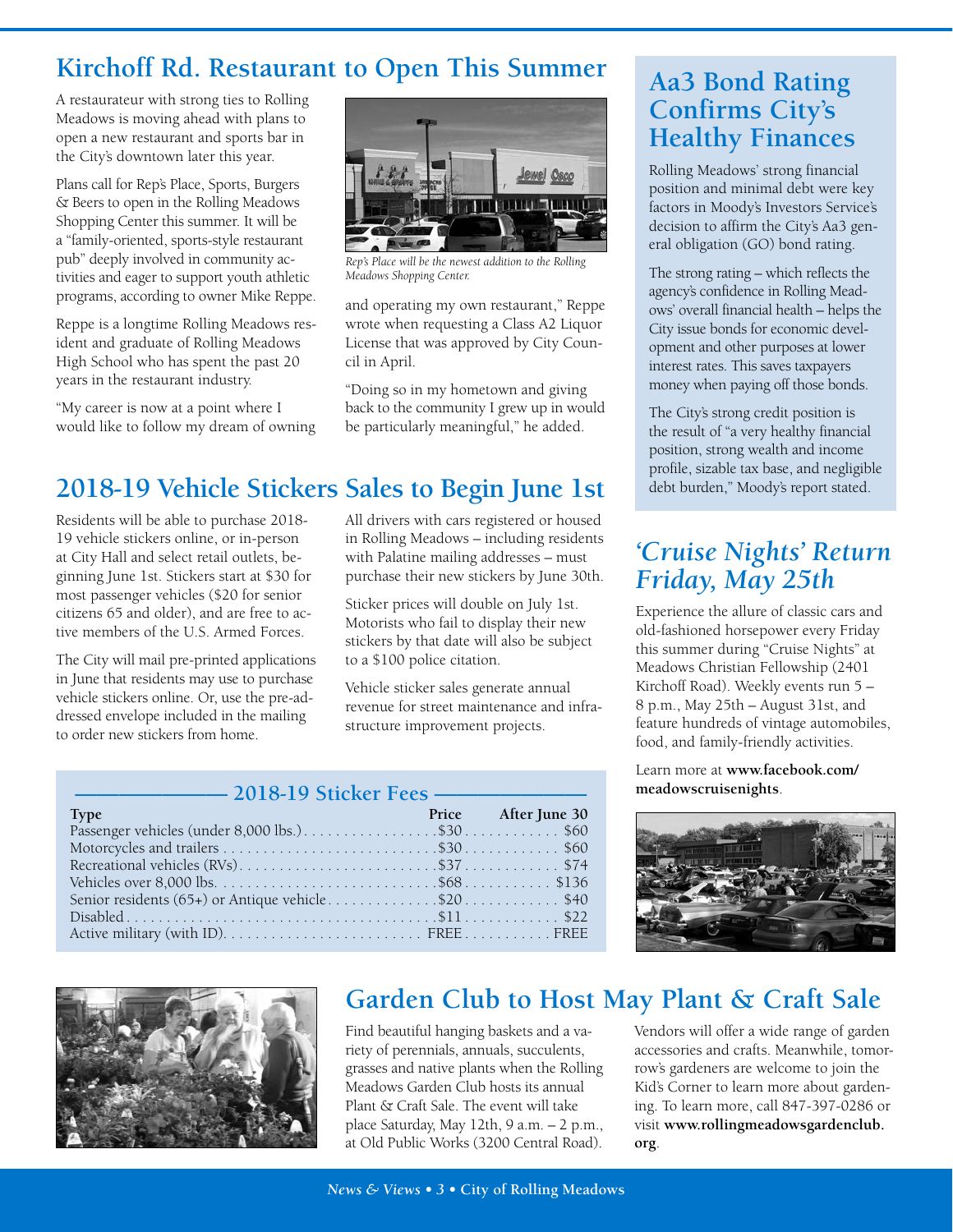## **Kirchoff Rd. Restaurant to Open This Summer**

A restaurateur with strong ties to Rolling Meadows is moving ahead with plans to open a new restaurant and sports bar in the City's downtown later this year.

Plans call for Rep's Place, Sports, Burgers & Beers to open in the Rolling Meadows Shopping Center this summer. It will be a "family-oriented, sports-style restaurant pub" deeply involved in community activities and eager to support youth athletic programs, according to owner Mike Reppe.

Reppe is a longtime Rolling Meadows resident and graduate of Rolling Meadows High School who has spent the past 20 years in the restaurant industry.

"My career is now at a point where I would like to follow my dream of owning



*Rep's Place will be the newest addition to the Rolling Meadows Shopping Center.*

and operating my own restaurant," Reppe wrote when requesting a Class A2 Liquor License that was approved by City Council in April.

"Doing so in my hometown and giving back to the community I grew up in would be particularly meaningful," he added.

# **2018-19 Vehicle Stickers Sales to Begin June 1st**

Residents will be able to purchase 2018- 19 vehicle stickers online, or in-person at City Hall and select retail outlets, beginning June 1st. Stickers start at \$30 for most passenger vehicles (\$20 for senior citizens 65 and older), and are free to active members of the U.S. Armed Forces.

The City will mail pre-printed applications in June that residents may use to purchase vehicle stickers online. Or, use the pre-addressed envelope included in the mailing to order new stickers from home.

All drivers with cars registered or housed in Rolling Meadows – including residents with Palatine mailing addresses – must purchase their new stickers by June 30th.

Sticker prices will double on July 1st. Motorists who fail to display their new stickers by that date will also be subject to a \$100 police citation.

Vehicle sticker sales generate annual revenue for street maintenance and infrastructure improvement projects.

| ——— 2018-19 Sticker Fees ———                      |  |                     |  |  |  |
|---------------------------------------------------|--|---------------------|--|--|--|
| <b>Type</b>                                       |  | Price After June 30 |  |  |  |
|                                                   |  |                     |  |  |  |
|                                                   |  |                     |  |  |  |
|                                                   |  |                     |  |  |  |
|                                                   |  |                     |  |  |  |
| Senior residents (65+) or Antique vehicle\$20\$40 |  |                     |  |  |  |
|                                                   |  |                     |  |  |  |
|                                                   |  |                     |  |  |  |

## **Aa3 Bond Rating Confirms City's Healthy Finances**

Rolling Meadows' strong financial position and minimal debt were key factors in Moody's Investors Service's decision to affirm the City's Aa3 general obligation (GO) bond rating.

The strong rating – which reflects the agency's confidence in Rolling Meadows' overall financial health – helps the City issue bonds for economic development and other purposes at lower interest rates. This saves taxpayers money when paying off those bonds.

The City's strong credit position is the result of "a very healthy financial position, strong wealth and income profile, sizable tax base, and negligible debt burden," Moody's report stated.

## *'Cruise Nights' Return Friday, May 25th*

Experience the allure of classic cars and old-fashioned horsepower every Friday this summer during "Cruise Nights" at Meadows Christian Fellowship (2401 Kirchoff Road). Weekly events run 5 – 8 p.m., May 25th – August 31st, and feature hundreds of vintage automobiles, food, and family-friendly activities.

Learn more at **www.facebook.com/ meadowscruisenights**.





## **Garden Club to Host May Plant & Craft Sale**

Find beautiful hanging baskets and a variety of perennials, annuals, succulents, grasses and native plants when the Rolling Meadows Garden Club hosts its annual Plant & Craft Sale. The event will take place Saturday, May 12th, 9 a.m. – 2 p.m., at Old Public Works (3200 Central Road).

Vendors will offer a wide range of garden accessories and crafts. Meanwhile, tomorrow's gardeners are welcome to join the Kid's Corner to learn more about gardening. To learn more, call 847-397-0286 or visit **www.rollingmeadowsgardenclub. org**.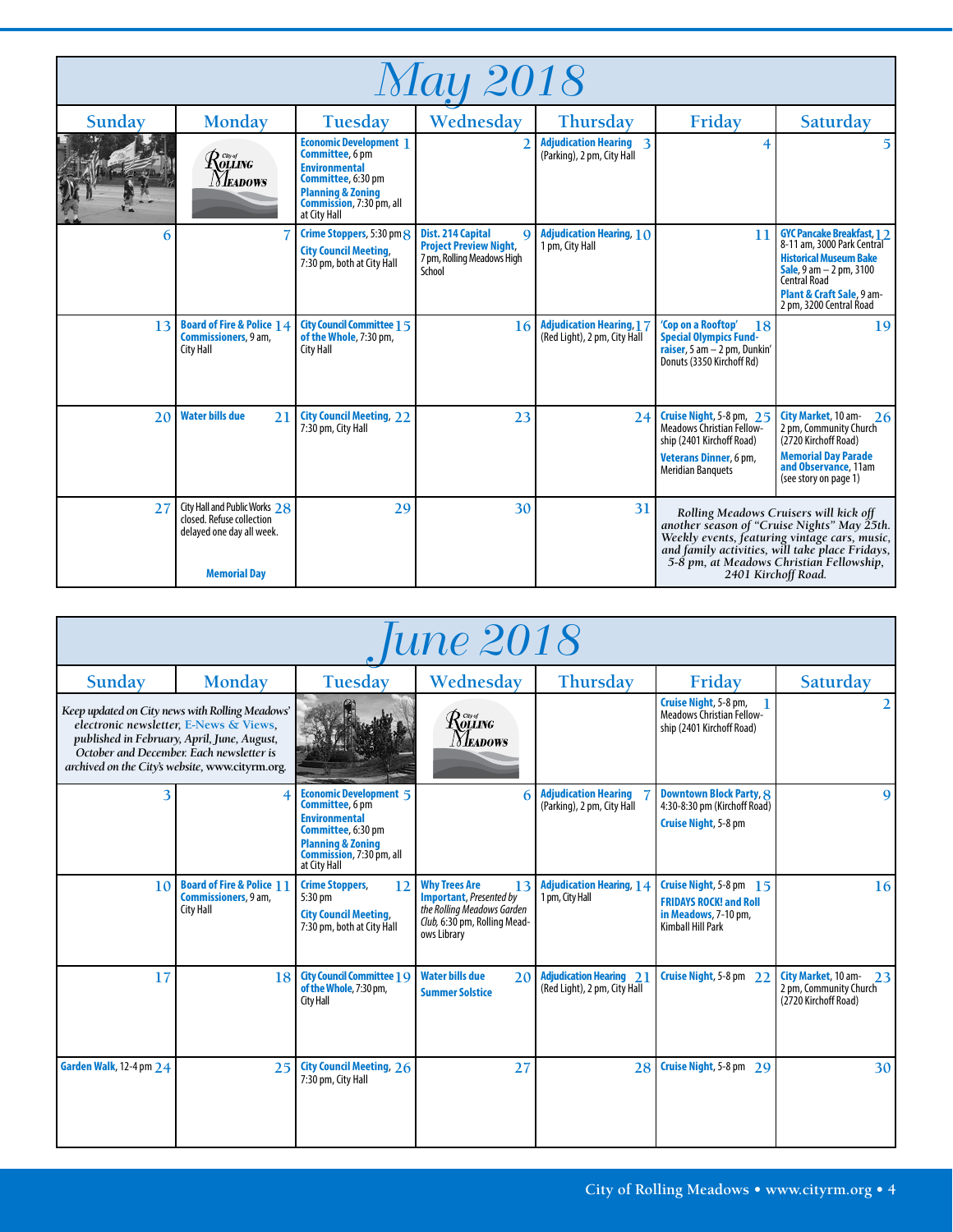| <i>May 2018</i> |                                                                                                                |                                                                                                                                                                            |                                                                                                        |                                                                       |                                                                                                                                          |                                                                                                                                                                                                                                                              |
|-----------------|----------------------------------------------------------------------------------------------------------------|----------------------------------------------------------------------------------------------------------------------------------------------------------------------------|--------------------------------------------------------------------------------------------------------|-----------------------------------------------------------------------|------------------------------------------------------------------------------------------------------------------------------------------|--------------------------------------------------------------------------------------------------------------------------------------------------------------------------------------------------------------------------------------------------------------|
| Sunday          | Monday                                                                                                         | <b>Tuesday</b>                                                                                                                                                             | Wednesday                                                                                              | Thursday                                                              | Friday                                                                                                                                   | Saturday                                                                                                                                                                                                                                                     |
|                 | R <sub>ouing</sub><br><i>Neadows</i>                                                                           | <b>Economic Development</b> 1<br>Committee, 6 pm<br><b>Environmental</b><br>Committee, 6:30 pm<br><b>Planning &amp; Zoning</b><br>Commission, 7:30 pm, all<br>at City Hall |                                                                                                        | <b>Adjudication Hearing 3</b><br>(Parking), 2 pm, City Hall           | 4                                                                                                                                        | 5.                                                                                                                                                                                                                                                           |
| 6               |                                                                                                                | Crime Stoppers, 5:30 pm 8<br><b>City Council Meeting,</b><br>7:30 pm, both at City Hall                                                                                    | Dist. 214 Capital<br>$\Omega$<br><b>Project Preview Night,</b><br>7 pm, Rolling Meadows High<br>School | <b>Adjudication Hearing, 1 <math>\Omega</math></b><br>1 pm, City Hall | 11                                                                                                                                       | <b>GYC Pancake Breakfast, 1 2</b><br>8-11 am, 3000 Park Central<br><b>Historical Museum Bake</b><br><b>Sale</b> , $9 \text{ am} - 2 \text{ pm}$ , $3100$<br>Central Road<br>Plant & Craft Sale, 9 am-<br>2 pm, 3200 Central Road                             |
| 13              | <b>Board of Fire &amp; Police 14</b><br><b>Commissioners</b> , 9 am,<br>City Hall                              | <b>City Council Committee 1 5</b><br>of the Whole, 7:30 pm,<br><b>City Hall</b>                                                                                            | 16                                                                                                     | <b>Adjudication Hearing, 17</b><br>(Red Light), 2 pm, City Hall       | 'Cop on a Rooftop'<br>18<br><b>Special Olympics Fund-</b><br>raiser, 5 am $-$ 2 pm, Dunkin'<br>Donuts (3350 Kirchoff Rd)                 | 9                                                                                                                                                                                                                                                            |
| 2 <sub>0</sub>  | <b>Water bills due</b><br>21                                                                                   | <b>City Council Meeting, 22</b><br>7:30 pm, City Hall                                                                                                                      | 23                                                                                                     | 24                                                                    | Cruise Night, 5-8 pm, 25<br>Meadows Christian Fellow-<br>ship (2401 Kirchoff Road)<br>Veterans Dinner, 6 pm,<br><b>Meridian Banquets</b> | City Market, 10 am-<br>26<br>2 pm, Community Church<br>(2720 Kirchoff Road)<br><b>Memorial Day Parade</b><br>and Observance, 11am<br>(see story on page 1)                                                                                                   |
| 27              | City Hall and Public Works 28<br>closed. Refuse collection<br>delayed one day all week.<br><b>Memorial Day</b> | 29                                                                                                                                                                         | 30                                                                                                     | 31                                                                    |                                                                                                                                          | Rolling Meadows Cruisers will kick off<br>another season of "Cruise Nights" May 25th.<br>Weekly events, featuring vintage cars, music,<br>and family activities, will take place Fridays,<br>5-8 pm, at Meadows Christian Fellowship,<br>2401 Kirchoff Road. |

| une 2018                                                                                                                                                                                                                                |                                                                           |                                                                                                                                                                            |                                                                                                                                            |                                                                |                                                                                                              |                                                                             |  |
|-----------------------------------------------------------------------------------------------------------------------------------------------------------------------------------------------------------------------------------------|---------------------------------------------------------------------------|----------------------------------------------------------------------------------------------------------------------------------------------------------------------------|--------------------------------------------------------------------------------------------------------------------------------------------|----------------------------------------------------------------|--------------------------------------------------------------------------------------------------------------|-----------------------------------------------------------------------------|--|
| Sunday                                                                                                                                                                                                                                  | Monday                                                                    | Tuesday                                                                                                                                                                    | Wednesday                                                                                                                                  | Thursday                                                       | Friday                                                                                                       | Saturday                                                                    |  |
| Keep updated on City news with Rolling Meadows'<br>electronic newsletter, E-News & Views,<br>published in February, April, June, August,<br>October and December. Each newsletter is<br>archived on the City's website, www.cityrm.org. |                                                                           |                                                                                                                                                                            | $\mathcal{R}^{\tiny{{\tiny\it C}\!\!{\tiny\it W}\!\!{\tiny\it G}}}_{\tiny \it OLLING}$<br>Meadows                                          |                                                                | Cruise Night, 5-8 pm,<br>Meadows Christian Fellow-<br>ship (2401 Kirchoff Road)                              | $\overline{2}$                                                              |  |
| 3                                                                                                                                                                                                                                       | 4                                                                         | <b>Economic Development 5</b><br>Committee, 6 pm<br><b>Environmental</b><br>Committee, 6:30 pm<br><b>Planning &amp; Zoning</b><br>Commission, 7:30 pm, all<br>at City Hall |                                                                                                                                            | <b>Adjudication Hearing</b><br>(Parking), 2 pm, City Hall      | <b>Downtown Block Party, 8</b><br>4:30-8:30 pm (Kirchoff Road)<br><b>Cruise Night, 5-8 pm</b>                | $\mathbf{Q}$                                                                |  |
| 10                                                                                                                                                                                                                                      | <b>Board of Fire &amp; Police 11</b><br>Commissioners, 9 am,<br>City Hall | <b>Crime Stoppers,</b><br>12<br>5:30 pm<br><b>City Council Meeting,</b><br>7:30 pm, both at City Hall                                                                      | <b>Why Trees Are</b><br>13<br><b>Important</b> , Presented by<br>the Rolling Meadows Garden<br>Club, 6:30 pm, Rolling Mead-<br>ows Library | <b>Adjudication Hearing, 14</b><br>1 pm, City Hall             | Cruise Night, 5-8 pm 15<br><b>FRIDAYS ROCK! and Roll</b><br>in Meadows, 7-10 pm,<br><b>Kimball Hill Park</b> | 16                                                                          |  |
| 17                                                                                                                                                                                                                                      | 18                                                                        | <b>City Council Committee 1 9</b><br>of the Whole, 7:30 pm,<br>City Hall                                                                                                   | <b>Water bills due</b><br>20<br><b>Summer Solstice</b>                                                                                     | <b>Adjudication Hearing 21</b><br>(Red Light), 2 pm, City Hall | Cruise Night, 5-8 pm 22                                                                                      | City Market, 10 am-<br>23<br>2 pm, Community Church<br>(2720 Kirchoff Road) |  |
| Garden Walk, 12-4 pm 24                                                                                                                                                                                                                 | 25                                                                        | <b>City Council Meeting, 26</b><br>7:30 pm, City Hall                                                                                                                      | 27                                                                                                                                         | 28                                                             | Cruise Night, 5-8 pm 29                                                                                      | 30                                                                          |  |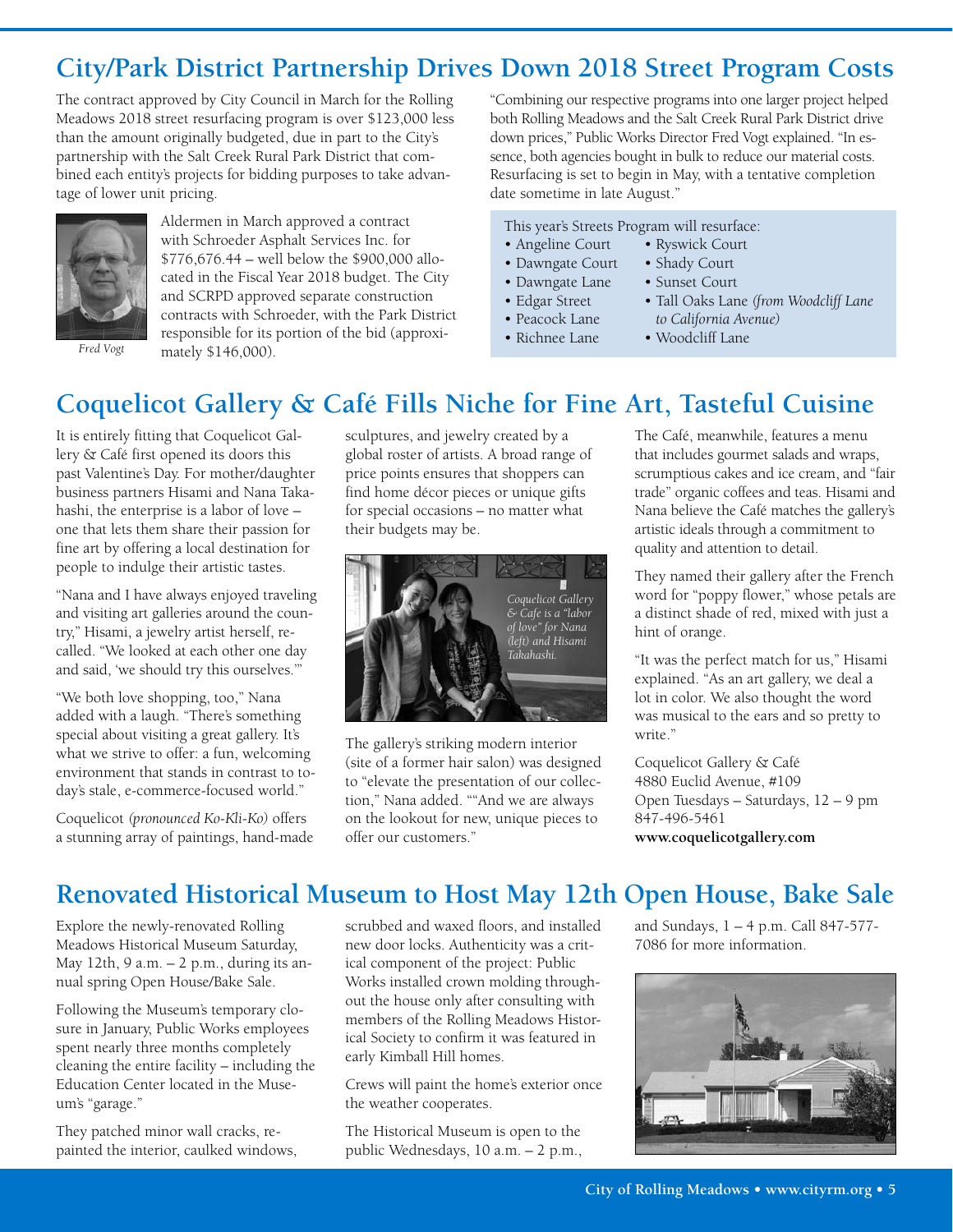# **City/Park District Partnership Drives Down 2018 Street Program Costs**

The contract approved by City Council in March for the Rolling Meadows 2018 street resurfacing program is over \$123,000 less than the amount originally budgeted, due in part to the City's partnership with the Salt Creek Rural Park District that combined each entity's projects for bidding purposes to take advantage of lower unit pricing.



Aldermen in March approved a contract with Schroeder Asphalt Services Inc. for \$776,676.44 – well below the \$900,000 allocated in the Fiscal Year 2018 budget. The City and SCRPD approved separate construction contracts with Schroeder, with the Park District responsible for its portion of the bid (approximately \$146,000).

*Fred Vogt*

"Combining our respective programs into one larger project helped both Rolling Meadows and the Salt Creek Rural Park District drive down prices," Public Works Director Fred Vogt explained. "In essence, both agencies bought in bulk to reduce our material costs. Resurfacing is set to begin in May, with a tentative completion date sometime in late August."

• Shady Court

#### This year's Streets Program will resurface:

- Angeline Court • Ryswick Court
- Dawngate Court
- Dawngate Lane
- Edgar Street
- Peacock Lane
- Richnee Lane
- Sunset Court • Tall Oaks Lane *(from Woodcliff Lane to California Avenue)*
- Woodcliff Lane

# **Coquelicot Gallery & Café Fills Niche for Fine Art, Tasteful Cuisine**

It is entirely fitting that Coquelicot Gallery & Café first opened its doors this past Valentine's Day. For mother/daughter business partners Hisami and Nana Takahashi, the enterprise is a labor of love – one that lets them share their passion for fine art by offering a local destination for people to indulge their artistic tastes.

"Nana and I have always enjoyed traveling and visiting art galleries around the country," Hisami, a jewelry artist herself, recalled. "We looked at each other one day and said, 'we should try this ourselves.'"

"We both love shopping, too," Nana added with a laugh. "There's something special about visiting a great gallery. It's what we strive to offer: a fun, welcoming environment that stands in contrast to today's stale, e-commerce-focused world."

Coquelicot *(pronounced Ko-Kli-Ko)* offers a stunning array of paintings, hand-made

sculptures, and jewelry created by a global roster of artists. A broad range of price points ensures that shoppers can find home décor pieces or unique gifts for special occasions – no matter what their budgets may be.



The gallery's striking modern interior (site of a former hair salon) was designed to "elevate the presentation of our collection," Nana added. ""And we are always on the lookout for new, unique pieces to offer our customers."

The Café, meanwhile, features a menu that includes gourmet salads and wraps, scrumptious cakes and ice cream, and "fair trade" organic coffees and teas. Hisami and Nana believe the Café matches the gallery's artistic ideals through a commitment to quality and attention to detail.

They named their gallery after the French word for "poppy flower," whose petals are a distinct shade of red, mixed with just a hint of orange.

"It was the perfect match for us," Hisami explained. "As an art gallery, we deal a lot in color. We also thought the word was musical to the ears and so pretty to write."

Coquelicot Gallery & Café 4880 Euclid Avenue, #109 Open Tuesdays – Saturdays, 12 – 9 pm 847-496-5461 **www.coquelicotgallery.com**

## **Renovated Historical Museum to Host May 12th Open House, Bake Sale**

Explore the newly-renovated Rolling Meadows Historical Museum Saturday, May 12th, 9 a.m. – 2 p.m., during its annual spring Open House/Bake Sale.

Following the Museum's temporary closure in January, Public Works employees spent nearly three months completely cleaning the entire facility – including the Education Center located in the Museum's "garage."

They patched minor wall cracks, repainted the interior, caulked windows, scrubbed and waxed floors, and installed new door locks. Authenticity was a critical component of the project: Public Works installed crown molding throughout the house only after consulting with members of the Rolling Meadows Historical Society to confirm it was featured in early Kimball Hill homes.

Crews will paint the home's exterior once the weather cooperates.

The Historical Museum is open to the public Wednesdays, 10 a.m. – 2 p.m., and Sundays, 1 – 4 p.m. Call 847-577- 7086 for more information.